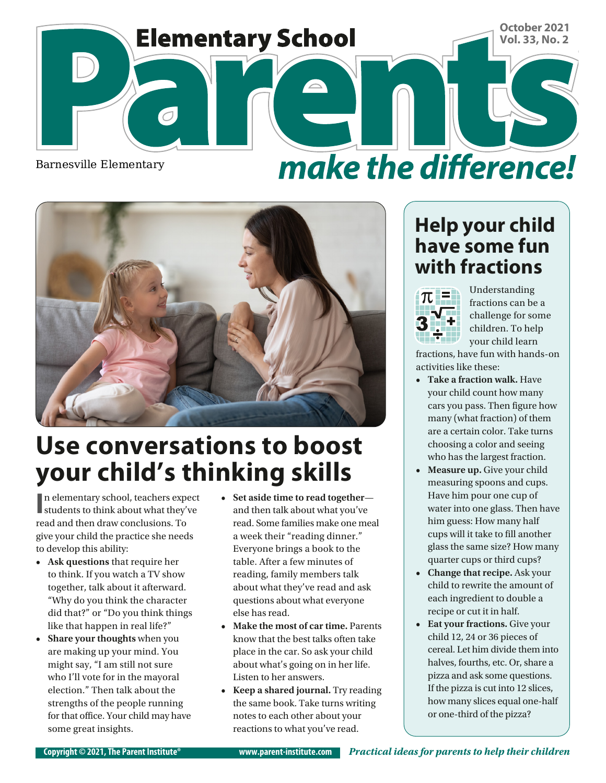

Barnesville Elementary

```
make the difference!
```


## **Use conversations to boost your child's thinking skills**

**I** n elementary school, teachers expect students to think about what they've n elementary school, teachers expect read and then draw conclusions. To give your child the practice she needs to develop this ability:

- **• Ask questions** that require her to think. If you watch a TV show together, talk about it afterward. "Why do you think the character did that?" or "Do you think things like that happen in real life?"
- **• Share your thoughts** when you are making up your mind. You might say, "I am still not sure who I'll vote for in the mayoral election." Then talk about the strengths of the people running for that office. Your child may have some great insights.
- **• Set aside time to read together** and then talk about what you've read. Some families make one meal a week their "reading dinner." Everyone brings a book to the table. After a few minutes of reading, family members talk about what they've read and ask questions about what everyone else has read.
- **• Make the most of car time.** Parents know that the best talks often take place in the car. So ask your child about what's going on in her life. Listen to her answers.
- **• Keep a shared journal.** Try reading the same book. Take turns writing notes to each other about your reactions to what you've read.

#### **Help your child have some fun with fractions**



Understanding fractions can be a challenge for some children. To help your child learn

fractions, have fun with hands-on activities like these:

- **• Take a fraction walk.** Have your child count how many cars you pass. Then figure how many (what fraction) of them are a certain color. Take turns choosing a color and seeing who has the largest fraction.
- Measure up. Give your child measuring spoons and cups. Have him pour one cup of water into one glass. Then have him guess: How many half cups will it take to fill another glass the same size? How many quarter cups or third cups?
- **• Change that recipe.** Ask your child to rewrite the amount of each ingredient to double a recipe or cut it in half.
- **• Eat your fractions.** Give your child 12, 24 or 36 pieces of cereal. Let him divide them into halves, fourths, etc. Or, share a pizza and ask some questions. If the pizza is cut into 12 slices, how many slices equal one-half or one-third of the pizza?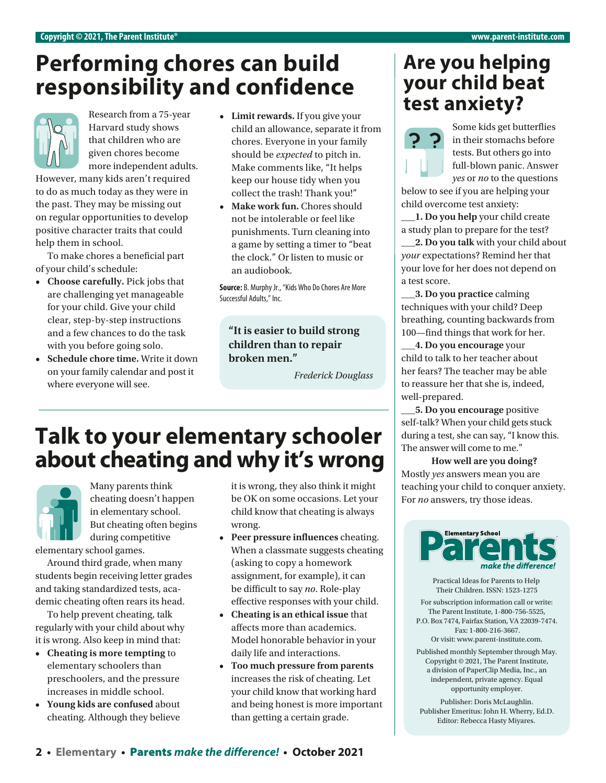#### **Performing chores can build responsibility and confidence**



Harvard study shows that children who are given chores become more independent adults.

However, many kids aren't required to do as much today as they were in the past. They may be missing out on regular opportunities to develop positive character traits that could help them in school.

To make chores a beneficial part of your child's schedule:

- **• Choose carefully.** Pick jobs that are challenging yet manageable for your child. Give your child clear, step-by-step instructions and a few chances to do the task with you before going solo.
- **• Schedule chore time.** Write it down on your family calendar and post it where everyone will see.
- **• Limit rewards.** If you give your child an allowance, separate it from chores. Everyone in your family should be *expected* to pitch in. Make comments like, "It helps keep our house tidy when you collect the trash! Thank you!"
- **Make work fun.** Chores should not be intolerable or feel like punishments. Turn cleaning into a game by setting a timer to "beat the clock." Or listen to music or an audiobook.

**Source:** B. Murphy Jr., "Kids Who Do Chores Are More Successful Adults," Inc.

**"It is easier to build strong children than to repair broken men."**

*Frederick Douglass*

## **Talk to your elementary schooler about cheating and why it's wrong**



Many parents think cheating doesn't happen in elementary school. But cheating often begins during competitive

elementary school games.

Around third grade, when many students begin receiving letter grades and taking standardized tests, academic cheating often rears its head.

To help prevent cheating, talk regularly with your child about why it is wrong. Also keep in mind that:

- **• Cheating is more tempting** to elementary schoolers than preschoolers, and the pressure increases in middle school.
- **• Young kids are confused** about cheating. Although they believe

it is wrong, they also think it might be OK on some occasions. Let your child know that cheating is always wrong.

- **• Peer pressure influences** cheating. When a classmate suggests cheating (asking to copy a homework assignment, for example), it can be difficult to say *no*. Role-play effective responses with your child.
- **• Cheating is an ethical issue** that affects more than academics. Model honorable behavior in your daily life and interactions.
- **• Too much pressure from parents**  increases the risk of cheating. Let your child know that working hard and being honest is more important than getting a certain grade.

#### **Are you helping your child beat**  Research from a 75-year **below . Limit rewards.** If you give your **the stanxiety?**



Some kids get butterflies in their stomachs before tests. But others go into full-blown panic. Answer *yes* or *no* to the questions

below to see if you are helping your child overcome test anxiety:

**\_\_\_1. Do you help** your child create a study plan to prepare for the test?

**\_\_\_2. Do you talk** with your child about *your* expectations? Remind her that your love for her does not depend on a test score.

**\_\_\_3. Do you practice** calming techniques with your child? Deep breathing, counting backwards from 100—find things that work for her.

**\_\_\_4. Do you encourage** your child to talk to her teacher about her fears? The teacher may be able to reassure her that she is, indeed, well-prepared.

**\_\_\_5. Do you encourage** positive self-talk? When your child gets stuck during a test, she can say, "I know this. The answer will come to me."

**How well are you doing?**  Mostly *yes* answers mean you are teaching your child to conquer anxiety. For *no* answers, try those ideas.



Practical Ideas for Parents to Help Their Children. ISSN: 1523-1275

For subscription information call or write: The Parent Institute, 1-800-756-5525, P.O. Box 7474, Fairfax Station, VA 22039-7474. Fax: 1-800-216-3667.

Or visit: www.parent-institute.com.

Published monthly September through May. Copyright © 2021, The Parent Institute, a division of PaperClip Media, Inc., an independent, private agency. Equal opportunity employer.

Publisher: Doris McLaughlin. Publisher Emeritus: John H. Wherry, Ed.D. Editor: Rebecca Hasty Miyares.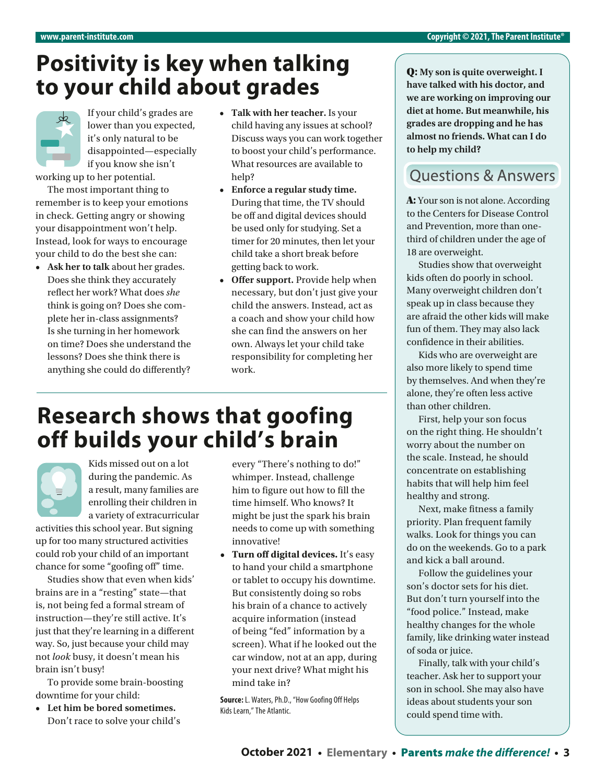## **Positivity is key when talking to your child about grades**

If your child's grades are lower than you expected, it's only natural to be disappointed—especially if you know she isn't

working up to her potential. The most important thing to

remember is to keep your emotions in check. Getting angry or showing your disappointment won't help. Instead, look for ways to encourage your child to do the best she can:

**• Ask her to talk** about her grades. Does she think they accurately reflect her work? What does *she* think is going on? Does she complete her in-class assignments? Is she turning in her homework on time? Does she understand the lessons? Does she think there is anything she could do differently?

- **• Talk with her teacher.** Is your child having any issues at school? Discuss ways you can work together to boost your child's performance. What resources are available to help?
- **• Enforce a regular study time.**  During that time, the TV should be off and digital devices should be used only for studying. Set a timer for 20 minutes, then let your child take a short break before getting back to work.
- **• Offer support.** Provide help when necessary, but don't just give your child the answers. Instead, act as a coach and show your child how she can find the answers on her own. Always let your child take responsibility for completing her work.

## **Research shows that goofing off builds your child's brain**



Kids missed out on a lot during the pandemic. As a result, many families are enrolling their children in a variety of extracurricular

activities this school year. But signing up for too many structured activities could rob your child of an important chance for some "goofing off" time.

Studies show that even when kids' brains are in a "resting" state—that is, not being fed a formal stream of instruction—they're still active. It's just that they're learning in a different way. So, just because your child may not *look* busy, it doesn't mean his brain isn't busy!

To provide some brain-boosting downtime for your child:

**• Let him be bored sometimes.**  Don't race to solve your child's every "There's nothing to do!" whimper. Instead, challenge him to figure out how to fill the time himself. Who knows? It might be just the spark his brain needs to come up with something innovative!

**• Turn off digital devices.** It's easy to hand your child a smartphone or tablet to occupy his downtime. But consistently doing so robs his brain of a chance to actively acquire information (instead of being "fed" information by a screen). What if he looked out the car window, not at an app, during your next drive? What might his mind take in?

**Source:** L. Waters, Ph.D., "How Goofing Off Helps Kids Learn," The Atlantic.

Q: **My son is quite overweight. I have talked with his doctor, and we are working on improving our diet at home. But meanwhile, his grades are dropping and he has almost no friends. What can I do to help my child?**

#### **Ouestions & Answers**

A: Your son is not alone. According to the Centers for Disease Control and Prevention, more than onethird of children under the age of 18 are overweight.

Studies show that overweight kids often do poorly in school. Many overweight children don't speak up in class because they are afraid the other kids will make fun of them. They may also lack confidence in their abilities.

Kids who are overweight are also more likely to spend time by themselves. And when they're alone, they're often less active than other children.

First, help your son focus on the right thing. He shouldn't worry about the number on the scale. Instead, he should concentrate on establishing habits that will help him feel healthy and strong.

Next, make fitness a family priority. Plan frequent family walks. Look for things you can do on the weekends. Go to a park and kick a ball around.

Follow the guidelines your son's doctor sets for his diet. But don't turn yourself into the "food police." Instead, make healthy changes for the whole family, like drinking water instead of soda or juice.

Finally, talk with your child's teacher. Ask her to support your son in school. She may also have ideas about students your son could spend time with.